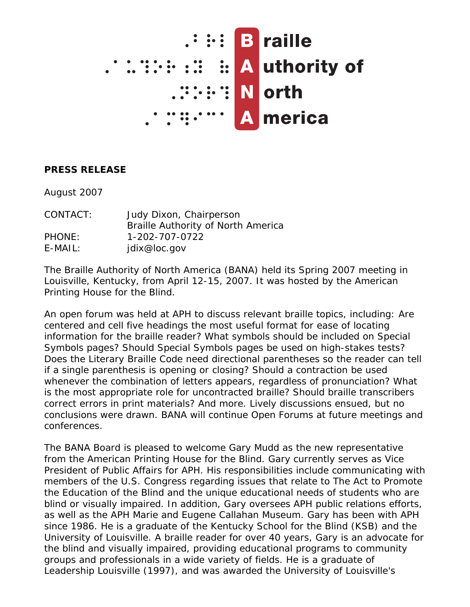

## **PRESS RELEASE**

August 2007

| CONTACT:      | Judy Dixon, Chairperson            |
|---------------|------------------------------------|
|               | Braille Authority of North America |
| <b>PHONE:</b> | 1-202-707-0722                     |
| $E-MAIL:$     | jdix@loc.gov                       |

The Braille Authority of North America (BANA) held its Spring 2007 meeting in Louisville, Kentucky, from April 12-15, 2007. It was hosted by the American Printing House for the Blind.

An open forum was held at APH to discuss relevant braille topics, including: Are centered and cell five headings the most useful format for ease of locating information for the braille reader? What symbols should be included on Special Symbols pages? Should Special Symbols pages be used on high-stakes tests? Does the Literary Braille Code need directional parentheses so the reader can tell if a single parenthesis is opening or closing? Should a contraction be used whenever the combination of letters appears, regardless of pronunciation? What is the most appropriate role for uncontracted braille? Should braille transcribers correct errors in print materials? And more. Lively discussions ensued, but no conclusions were drawn. BANA will continue Open Forums at future meetings and conferences.

The BANA Board is pleased to welcome Gary Mudd as the new representative from the American Printing House for the Blind. Gary currently serves as Vice President of Public Affairs for APH. His responsibilities include communicating with members of the U.S. Congress regarding issues that relate to The Act to Promote the Education of the Blind and the unique educational needs of students who are blind or visually impaired. In addition, Gary oversees APH public relations efforts, as well as the APH Marie and Eugene Callahan Museum. Gary has been with APH since 1986. He is a graduate of the Kentucky School for the Blind (KSB) and the University of Louisville. A braille reader for over 40 years, Gary is an advocate for the blind and visually impaired, providing educational programs to community groups and professionals in a wide variety of fields. He is a graduate of Leadership Louisville (1997), and was awarded the University of Louisville's